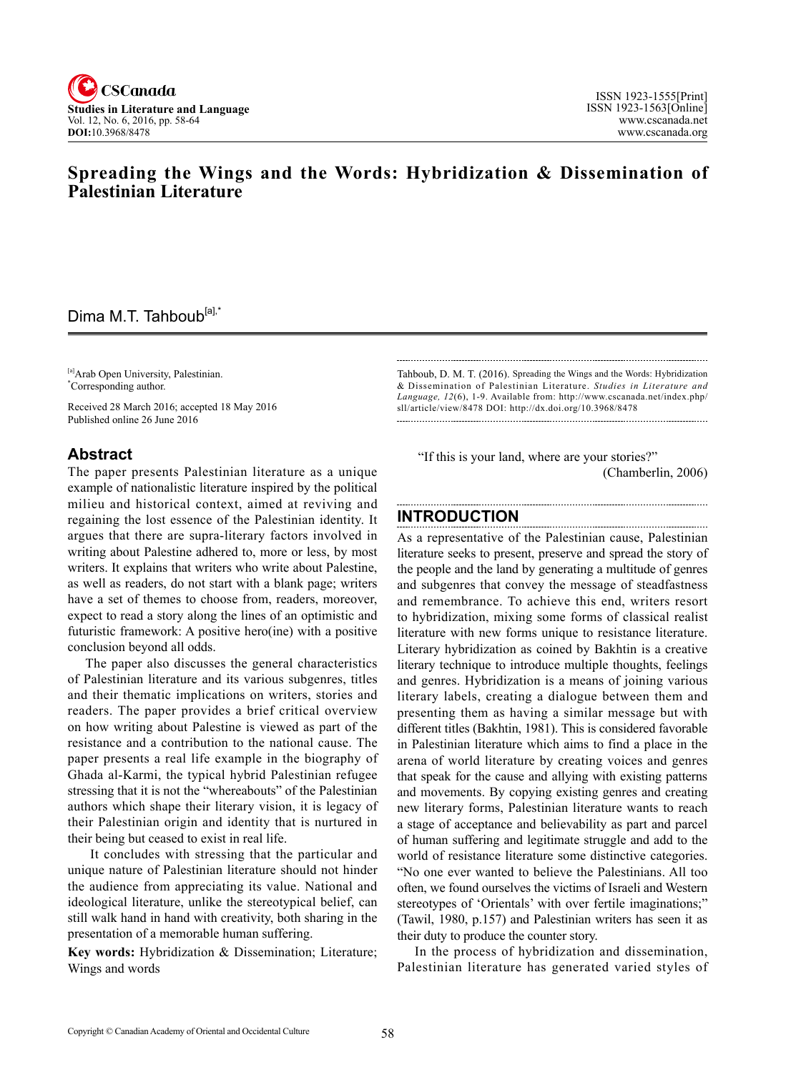

# **Spreading the Wings and the Words: Hybridization & Dissemination of Palestinian Literature**

# Dima M.T. Tahboub<sup>[a],\*</sup>

[a]Arab Open University, Palestinian. \* Corresponding author.

Received 28 March 2016; accepted 18 May 2016 Published online 26 June 2016

### **Abstract**

The paper presents Palestinian literature as a unique example of nationalistic literature inspired by the political milieu and historical context, aimed at reviving and regaining the lost essence of the Palestinian identity. It argues that there are supra-literary factors involved in writing about Palestine adhered to, more or less, by most writers. It explains that writers who write about Palestine, as well as readers, do not start with a blank page; writers have a set of themes to choose from, readers, moreover, expect to read a story along the lines of an optimistic and futuristic framework: A positive hero(ine) with a positive conclusion beyond all odds.

The paper also discusses the general characteristics of Palestinian literature and its various subgenres, titles and their thematic implications on writers, stories and readers. The paper provides a brief critical overview on how writing about Palestine is viewed as part of the resistance and a contribution to the national cause. The paper presents a real life example in the biography of Ghada al-Karmi, the typical hybrid Palestinian refugee stressing that it is not the "whereabouts" of the Palestinian authors which shape their literary vision, it is legacy of their Palestinian origin and identity that is nurtured in their being but ceased to exist in real life.

 It concludes with stressing that the particular and unique nature of Palestinian literature should not hinder the audience from appreciating its value. National and ideological literature, unlike the stereotypical belief, can still walk hand in hand with creativity, both sharing in the presentation of a memorable human suffering.

**Key words:** Hybridization & Dissemination; Literature; Wings and words

Tahboub, D. M. T. (2016). Spreading the Wings and the Words: Hybridization & Dissemination of Palestinian Literature. *Studies in Literature and Language, 12*(6), 1-9. Available from: http://www.cscanada.net/index.php/ sll/article/view/8478 DOI: http://dx.doi.org/10.3968/8478

 "If this is your land, where are your stories?" (Chamberlin, 2006)

#### **INTRODUCTION**

As a representative of the Palestinian cause, Palestinian literature seeks to present, preserve and spread the story of the people and the land by generating a multitude of genres and subgenres that convey the message of steadfastness and remembrance. To achieve this end, writers resort to hybridization, mixing some forms of classical realist literature with new forms unique to resistance literature. Literary hybridization as coined by Bakhtin is a creative literary technique to introduce multiple thoughts, feelings and genres. Hybridization is a means of joining various literary labels, creating a dialogue between them and presenting them as having a similar message but with different titles (Bakhtin, 1981). This is considered favorable in Palestinian literature which aims to find a place in the arena of world literature by creating voices and genres that speak for the cause and allying with existing patterns and movements. By copying existing genres and creating new literary forms, Palestinian literature wants to reach a stage of acceptance and believability as part and parcel of human suffering and legitimate struggle and add to the world of resistance literature some distinctive categories. "No one ever wanted to believe the Palestinians. All too often, we found ourselves the victims of Israeli and Western stereotypes of 'Orientals' with over fertile imaginations;" (Tawil, 1980, p.157) and Palestinian writers has seen it as their duty to produce the counter story.

In the process of hybridization and dissemination, Palestinian literature has generated varied styles of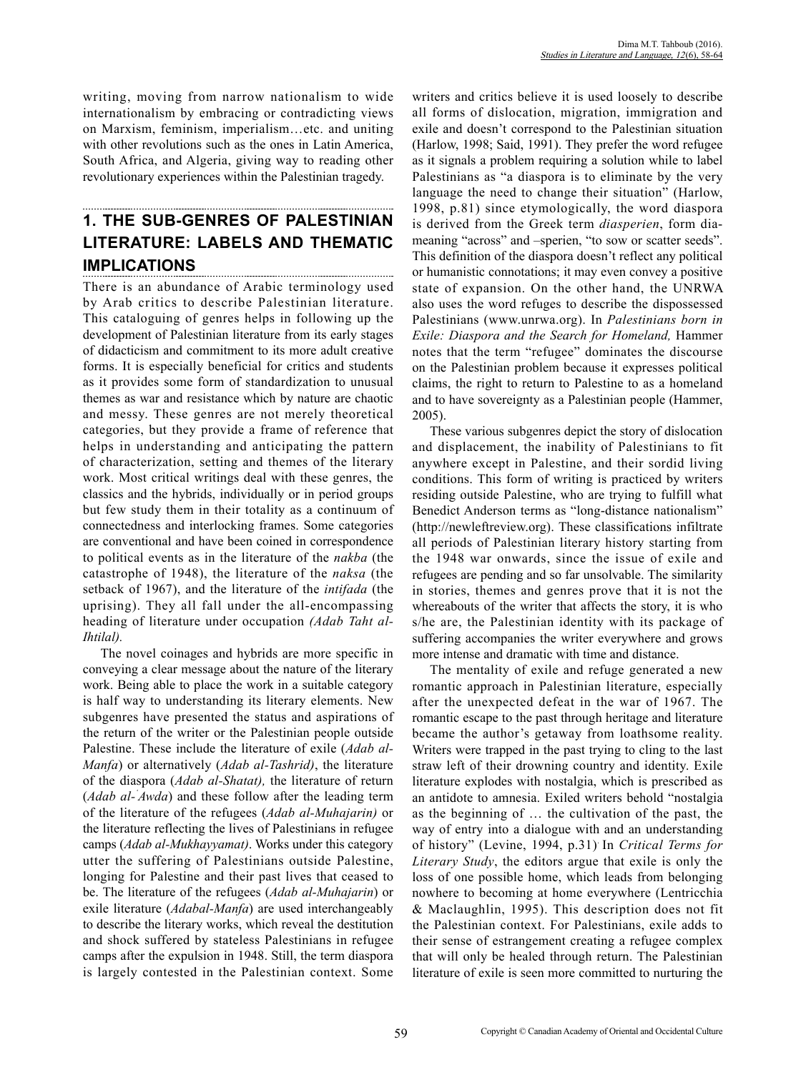writing, moving from narrow nationalism to wide internationalism by embracing or contradicting views on Marxism, feminism, imperialism…etc. and uniting with other revolutions such as the ones in Latin America, South Africa, and Algeria, giving way to reading other revolutionary experiences within the Palestinian tragedy.

## **1. THE SUB-GENRES OF PALESTINIAN LITERATURE: LABELS AND THEMATIC IMPLICATIONS**

There is an abundance of Arabic terminology used by Arab critics to describe Palestinian literature. This cataloguing of genres helps in following up the development of Palestinian literature from its early stages of didacticism and commitment to its more adult creative forms. It is especially beneficial for critics and students as it provides some form of standardization to unusual themes as war and resistance which by nature are chaotic and messy. These genres are not merely theoretical categories, but they provide a frame of reference that helps in understanding and anticipating the pattern of characterization, setting and themes of the literary work. Most critical writings deal with these genres, the classics and the hybrids, individually or in period groups but few study them in their totality as a continuum of connectedness and interlocking frames. Some categories are conventional and have been coined in correspondence to political events as in the literature of the *nakba* (the catastrophe of 1948), the literature of the *naksa* (the setback of 1967), and the literature of the *intifada* (the uprising). They all fall under the all-encompassing heading of literature under occupation *(Adab Taht al-Ihtilal).*

The novel coinages and hybrids are more specific in conveying a clear message about the nature of the literary work. Being able to place the work in a suitable category is half way to understanding its literary elements. New subgenres have presented the status and aspirations of the return of the writer or the Palestinian people outside Palestine. These include the literature of exile (*Adab al-Manfa*) or alternatively (*Adab al-Tashrid)*, the literature of the diaspora (*Adab al-Shatat),* the literature of return (*Adab al-' Awda*) and these follow after the leading term of the literature of the refugees (*Adab al-Muhajarin)* or the literature reflecting the lives of Palestinians in refugee camps (*Adab al-Mukhayyamat)*. Works under this category utter the suffering of Palestinians outside Palestine, longing for Palestine and their past lives that ceased to be. The literature of the refugees (*Adab al-Muhajarin*) or exile literature (*Adabal-Manfa*) are used interchangeably to describe the literary works, which reveal the destitution and shock suffered by stateless Palestinians in refugee camps after the expulsion in 1948. Still, the term diaspora is largely contested in the Palestinian context. Some

writers and critics believe it is used loosely to describe all forms of dislocation, migration, immigration and exile and doesn't correspond to the Palestinian situation (Harlow, 1998; Said, 1991). They prefer the word refugee as it signals a problem requiring a solution while to label Palestinians as "a diaspora is to eliminate by the very language the need to change their situation" (Harlow, 1998, p.81) since etymologically, the word diaspora is derived from the Greek term *diasperien*, form diameaning "across" and –sperien, "to sow or scatter seeds". This definition of the diaspora doesn't reflect any political or humanistic connotations; it may even convey a positive state of expansion. On the other hand, the UNRWA also uses the word refuges to describe the dispossessed Palestinians (www.unrwa.org). In *Palestinians born in Exile: Diaspora and the Search for Homeland,* Hammer notes that the term "refugee" dominates the discourse on the Palestinian problem because it expresses political claims, the right to return to Palestine to as a homeland and to have sovereignty as a Palestinian people (Hammer, 2005).

These various subgenres depict the story of dislocation and displacement, the inability of Palestinians to fit anywhere except in Palestine, and their sordid living conditions. This form of writing is practiced by writers residing outside Palestine, who are trying to fulfill what Benedict Anderson terms as "long-distance nationalism" (http://newleftreview.org). These classifications infiltrate all periods of Palestinian literary history starting from the 1948 war onwards, since the issue of exile and refugees are pending and so far unsolvable. The similarity in stories, themes and genres prove that it is not the whereabouts of the writer that affects the story, it is who s/he are, the Palestinian identity with its package of suffering accompanies the writer everywhere and grows more intense and dramatic with time and distance.

The mentality of exile and refuge generated a new romantic approach in Palestinian literature, especially after the unexpected defeat in the war of 1967. The romantic escape to the past through heritage and literature became the author's getaway from loathsome reality. Writers were trapped in the past trying to cling to the last straw left of their drowning country and identity. Exile literature explodes with nostalgia, which is prescribed as an antidote to amnesia. Exiled writers behold "nostalgia as the beginning of … the cultivation of the past, the way of entry into a dialogue with and an understanding of history" (Levine, 1994, p.31). In *Critical Terms for Literary Study*, the editors argue that exile is only the loss of one possible home, which leads from belonging nowhere to becoming at home everywhere (Lentricchia & Maclaughlin, 1995). This description does not fit the Palestinian context. For Palestinians, exile adds to their sense of estrangement creating a refugee complex that will only be healed through return. The Palestinian literature of exile is seen more committed to nurturing the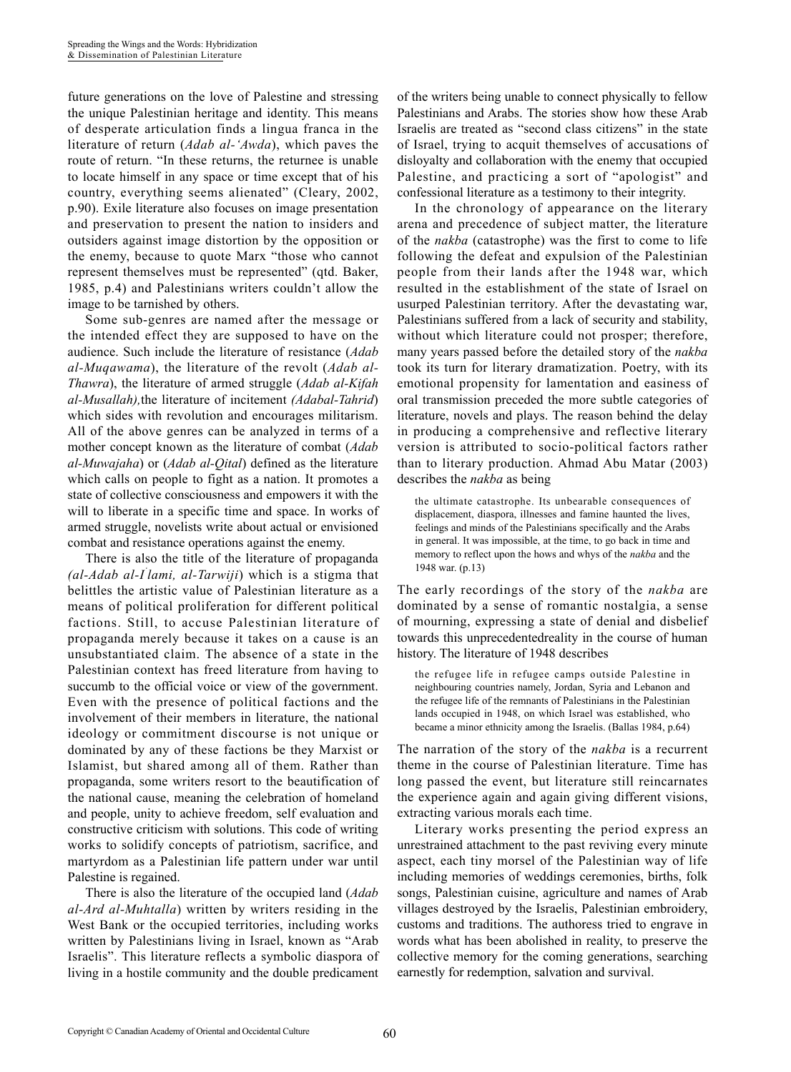future generations on the love of Palestine and stressing the unique Palestinian heritage and identity. This means of desperate articulation finds a lingua franca in the literature of return (*Adab al-'Awda*), which paves the route of return. "In these returns, the returnee is unable to locate himself in any space or time except that of his country, everything seems alienated" (Cleary, 2002, p.90). Exile literature also focuses on image presentation and preservation to present the nation to insiders and outsiders against image distortion by the opposition or the enemy, because to quote Marx "those who cannot represent themselves must be represented" (qtd. Baker, 1985, p.4) and Palestinians writers couldn't allow the image to be tarnished by others.

Some sub-genres are named after the message or the intended effect they are supposed to have on the audience. Such include the literature of resistance (*Adab al-Muqawama*), the literature of the revolt (*Adab al-Thawra*), the literature of armed struggle (*Adab al-Kifah al-Musallah),*the literature of incitement *(Adabal-Tahrid*) which sides with revolution and encourages militarism. All of the above genres can be analyzed in terms of a mother concept known as the literature of combat (*Adab al-Muwajaha*) or (*Adab al-Qital*) defined as the literature which calls on people to fight as a nation. It promotes a state of collective consciousness and empowers it with the will to liberate in a specific time and space. In works of armed struggle, novelists write about actual or envisioned combat and resistance operations against the enemy.

There is also the title of the literature of propaganda *(al-Adab al-I' lami, al-Tarwiji*) which is a stigma that belittles the artistic value of Palestinian literature as a means of political proliferation for different political factions. Still, to accuse Palestinian literature of propaganda merely because it takes on a cause is an unsubstantiated claim. The absence of a state in the Palestinian context has freed literature from having to succumb to the official voice or view of the government. Even with the presence of political factions and the involvement of their members in literature, the national ideology or commitment discourse is not unique or dominated by any of these factions be they Marxist or Islamist, but shared among all of them. Rather than propaganda, some writers resort to the beautification of the national cause, meaning the celebration of homeland and people, unity to achieve freedom, self evaluation and constructive criticism with solutions. This code of writing works to solidify concepts of patriotism, sacrifice, and martyrdom as a Palestinian life pattern under war until Palestine is regained.

There is also the literature of the occupied land (*Adab al-Ard al-Muhtalla*) written by writers residing in the West Bank or the occupied territories, including works written by Palestinians living in Israel, known as "Arab Israelis". This literature reflects a symbolic diaspora of living in a hostile community and the double predicament of the writers being unable to connect physically to fellow Palestinians and Arabs. The stories show how these Arab Israelis are treated as "second class citizens" in the state of Israel, trying to acquit themselves of accusations of disloyalty and collaboration with the enemy that occupied Palestine, and practicing a sort of "apologist" and confessional literature as a testimony to their integrity.

In the chronology of appearance on the literary arena and precedence of subject matter, the literature of the *nakba* (catastrophe) was the first to come to life following the defeat and expulsion of the Palestinian people from their lands after the 1948 war, which resulted in the establishment of the state of Israel on usurped Palestinian territory. After the devastating war, Palestinians suffered from a lack of security and stability, without which literature could not prosper; therefore, many years passed before the detailed story of the *nakba* took its turn for literary dramatization. Poetry, with its emotional propensity for lamentation and easiness of oral transmission preceded the more subtle categories of literature, novels and plays. The reason behind the delay in producing a comprehensive and reflective literary version is attributed to socio-political factors rather than to literary production. Ahmad Abu Matar (2003) describes the *nakba* as being

the ultimate catastrophe. Its unbearable consequences of displacement, diaspora, illnesses and famine haunted the lives, feelings and minds of the Palestinians specifically and the Arabs in general. It was impossible, at the time, to go back in time and memory to reflect upon the hows and whys of the *nakba* and the 1948 war. (p.13)

The early recordings of the story of the *nakba* are dominated by a sense of romantic nostalgia, a sense of mourning, expressing a state of denial and disbelief towards this unprecedentedreality in the course of human history. The literature of 1948 describes

the refugee life in refugee camps outside Palestine in neighbouring countries namely, Jordan, Syria and Lebanon and the refugee life of the remnants of Palestinians in the Palestinian lands occupied in 1948, on which Israel was established, who became a minor ethnicity among the Israelis. (Ballas 1984, p.64)

The narration of the story of the *nakba* is a recurrent theme in the course of Palestinian literature. Time has long passed the event, but literature still reincarnates the experience again and again giving different visions, extracting various morals each time.

Literary works presenting the period express an unrestrained attachment to the past reviving every minute aspect, each tiny morsel of the Palestinian way of life including memories of weddings ceremonies, births, folk songs, Palestinian cuisine, agriculture and names of Arab villages destroyed by the Israelis, Palestinian embroidery, customs and traditions. The authoress tried to engrave in words what has been abolished in reality, to preserve the collective memory for the coming generations, searching earnestly for redemption, salvation and survival.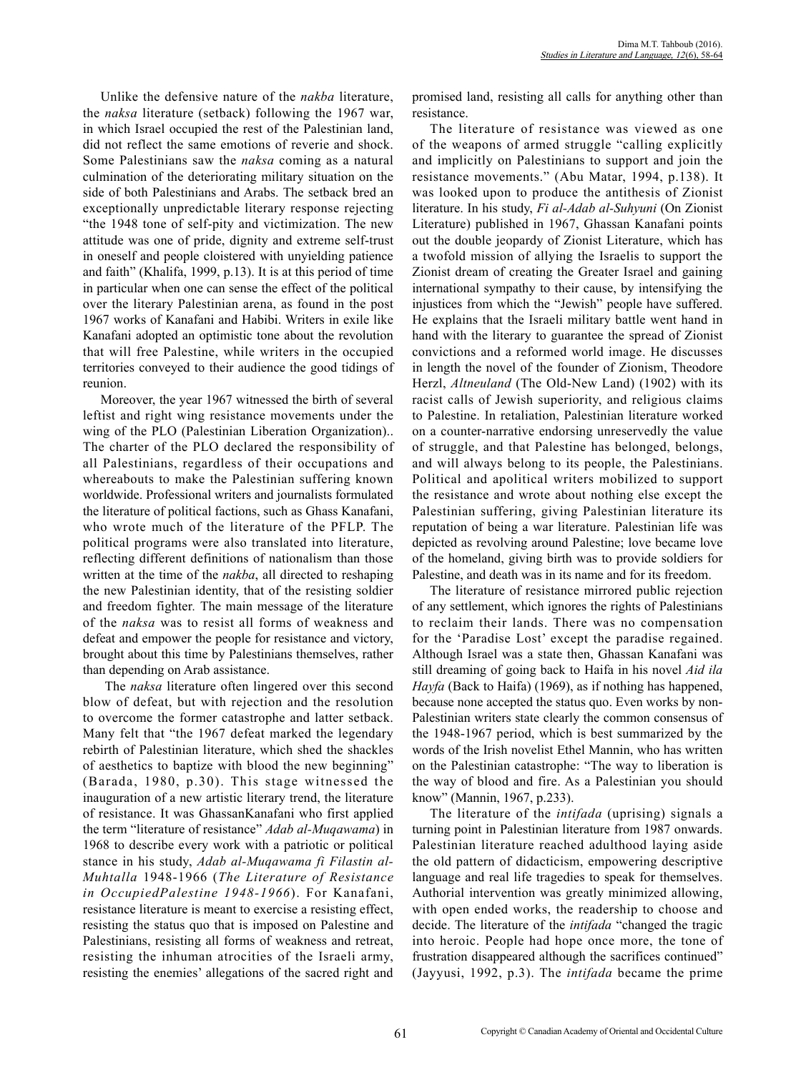Unlike the defensive nature of the *nakba* literature, the *naksa* literature (setback) following the 1967 war, in which Israel occupied the rest of the Palestinian land, did not reflect the same emotions of reverie and shock. Some Palestinians saw the *naksa* coming as a natural culmination of the deteriorating military situation on the side of both Palestinians and Arabs. The setback bred an exceptionally unpredictable literary response rejecting "the 1948 tone of self-pity and victimization. The new attitude was one of pride, dignity and extreme self-trust in oneself and people cloistered with unyielding patience and faith" (Khalifa, 1999, p.13). It is at this period of time in particular when one can sense the effect of the political over the literary Palestinian arena, as found in the post 1967 works of Kanafani and Habibi. Writers in exile like Kanafani adopted an optimistic tone about the revolution that will free Palestine, while writers in the occupied territories conveyed to their audience the good tidings of reunion.

Moreover, the year 1967 witnessed the birth of several leftist and right wing resistance movements under the wing of the PLO (Palestinian Liberation Organization).. The charter of the PLO declared the responsibility of all Palestinians, regardless of their occupations and whereabouts to make the Palestinian suffering known worldwide. Professional writers and journalists formulated the literature of political factions, such as Ghass Kanafani, who wrote much of the literature of the PFLP. The political programs were also translated into literature, reflecting different definitions of nationalism than those written at the time of the *nakba*, all directed to reshaping the new Palestinian identity, that of the resisting soldier and freedom fighter*.* The main message of the literature of the *naksa* was to resist all forms of weakness and defeat and empower the people for resistance and victory, brought about this time by Palestinians themselves, rather than depending on Arab assistance.

 The *naksa* literature often lingered over this second blow of defeat, but with rejection and the resolution to overcome the former catastrophe and latter setback. Many felt that "the 1967 defeat marked the legendary rebirth of Palestinian literature, which shed the shackles of aesthetics to baptize with blood the new beginning" (Barada, 1980, p.30). This stage witnessed the inauguration of a new artistic literary trend, the literature of resistance. It was GhassanKanafani who first applied the term "literature of resistance" *Adab al-Muqawama*) in 1968 to describe every work with a patriotic or political stance in his study, *Adab al-Muqawama fi Filastin al-Muhtalla* 1948-1966 (*The Literature of Resistance in OccupiedPalestine 1948-1966*). For Kanafani, resistance literature is meant to exercise a resisting effect, resisting the status quo that is imposed on Palestine and Palestinians, resisting all forms of weakness and retreat, resisting the inhuman atrocities of the Israeli army, resisting the enemies' allegations of the sacred right and

promised land, resisting all calls for anything other than resistance.

The literature of resistance was viewed as one of the weapons of armed struggle "calling explicitly and implicitly on Palestinians to support and join the resistance movements." (Abu Matar, 1994, p.138). It was looked upon to produce the antithesis of Zionist literature. In his study, *Fi al-Adab al-Suhyuni* (On Zionist Literature) published in 1967, Ghassan Kanafani points out the double jeopardy of Zionist Literature, which has a twofold mission of allying the Israelis to support the Zionist dream of creating the Greater Israel and gaining international sympathy to their cause, by intensifying the injustices from which the "Jewish" people have suffered. He explains that the Israeli military battle went hand in hand with the literary to guarantee the spread of Zionist convictions and a reformed world image. He discusses in length the novel of the founder of Zionism, Theodore Herzl, *Altneuland* (The Old-New Land) (1902) with its racist calls of Jewish superiority, and religious claims to Palestine. In retaliation, Palestinian literature worked on a counter-narrative endorsing unreservedly the value of struggle, and that Palestine has belonged, belongs, and will always belong to its people, the Palestinians. Political and apolitical writers mobilized to support the resistance and wrote about nothing else except the Palestinian suffering, giving Palestinian literature its reputation of being a war literature. Palestinian life was depicted as revolving around Palestine; love became love of the homeland, giving birth was to provide soldiers for Palestine, and death was in its name and for its freedom.

The literature of resistance mirrored public rejection of any settlement, which ignores the rights of Palestinians to reclaim their lands. There was no compensation for the 'Paradise Lost' except the paradise regained. Although Israel was a state then, Ghassan Kanafani was still dreaming of going back to Haifa in his novel *Aid ila Hayfa* (Back to Haifa) (1969), as if nothing has happened, because none accepted the status quo. Even works by non-Palestinian writers state clearly the common consensus of the 1948-1967 period, which is best summarized by the words of the Irish novelist Ethel Mannin, who has written on the Palestinian catastrophe: "The way to liberation is the way of blood and fire. As a Palestinian you should know" (Mannin, 1967, p.233).

The literature of the *intifada* (uprising) signals a turning point in Palestinian literature from 1987 onwards. Palestinian literature reached adulthood laying aside the old pattern of didacticism, empowering descriptive language and real life tragedies to speak for themselves. Authorial intervention was greatly minimized allowing, with open ended works, the readership to choose and decide. The literature of the *intifada* "changed the tragic into heroic. People had hope once more, the tone of frustration disappeared although the sacrifices continued" (Jayyusi, 1992, p.3). The *intifada* became the prime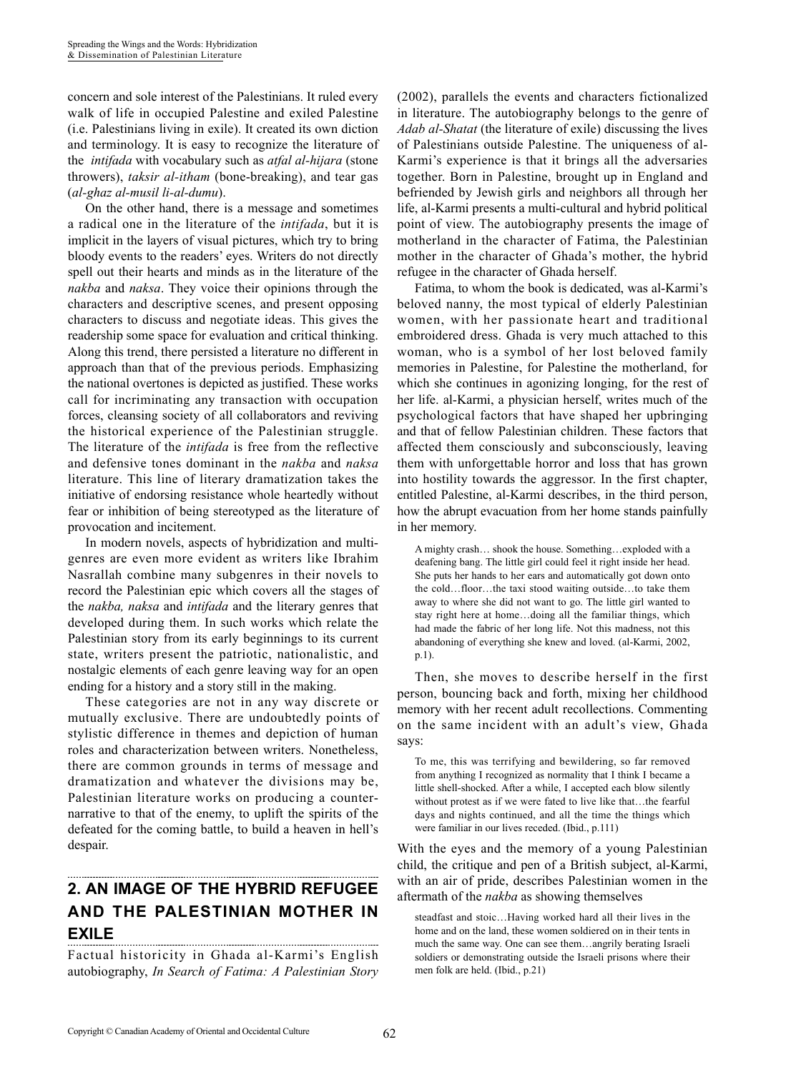concern and sole interest of the Palestinians. It ruled every walk of life in occupied Palestine and exiled Palestine (i.e. Palestinians living in exile). It created its own diction and terminology. It is easy to recognize the literature of the *intifada* with vocabulary such as *atfal al-hijara* (stone throwers), *taksir al-itham* (bone-breaking), and tear gas (*al-ghaz al-musil li-al-dumu*).

On the other hand, there is a message and sometimes a radical one in the literature of the *intifada*, but it is implicit in the layers of visual pictures, which try to bring bloody events to the readers' eyes. Writers do not directly spell out their hearts and minds as in the literature of the *nakba* and *naksa*. They voice their opinions through the characters and descriptive scenes, and present opposing characters to discuss and negotiate ideas. This gives the readership some space for evaluation and critical thinking. Along this trend, there persisted a literature no different in approach than that of the previous periods. Emphasizing the national overtones is depicted as justified. These works call for incriminating any transaction with occupation forces, cleansing society of all collaborators and reviving the historical experience of the Palestinian struggle. The literature of the *intifada* is free from the reflective and defensive tones dominant in the *nakba* and *naksa* literature. This line of literary dramatization takes the initiative of endorsing resistance whole heartedly without fear or inhibition of being stereotyped as the literature of provocation and incitement.

In modern novels, aspects of hybridization and multigenres are even more evident as writers like Ibrahim Nasrallah combine many subgenres in their novels to record the Palestinian epic which covers all the stages of the *nakba, naksa* and *intifada* and the literary genres that developed during them. In such works which relate the Palestinian story from its early beginnings to its current state, writers present the patriotic, nationalistic, and nostalgic elements of each genre leaving way for an open ending for a history and a story still in the making.

These categories are not in any way discrete or mutually exclusive. There are undoubtedly points of stylistic difference in themes and depiction of human roles and characterization between writers. Nonetheless, there are common grounds in terms of message and dramatization and whatever the divisions may be, Palestinian literature works on producing a counternarrative to that of the enemy, to uplift the spirits of the defeated for the coming battle, to build a heaven in hell's despair.

## **2. AN IMAGE OF THE HYBRID REFUGEE AND THE PALESTINIAN MOTHER IN EXILE**

Factual historicity in Ghada al-Karmi's English autobiography, *In Search of Fatima: A Palestinian Story*  (2002), parallels the events and characters fictionalized in literature. The autobiography belongs to the genre of *Adab al-Shatat* (the literature of exile) discussing the lives of Palestinians outside Palestine. The uniqueness of al-Karmi's experience is that it brings all the adversaries together. Born in Palestine, brought up in England and befriended by Jewish girls and neighbors all through her life, al-Karmi presents a multi-cultural and hybrid political point of view. The autobiography presents the image of motherland in the character of Fatima, the Palestinian mother in the character of Ghada's mother, the hybrid refugee in the character of Ghada herself.

Fatima, to whom the book is dedicated, was al-Karmi's beloved nanny, the most typical of elderly Palestinian women, with her passionate heart and traditional embroidered dress. Ghada is very much attached to this woman, who is a symbol of her lost beloved family memories in Palestine, for Palestine the motherland, for which she continues in agonizing longing, for the rest of her life. al-Karmi, a physician herself, writes much of the psychological factors that have shaped her upbringing and that of fellow Palestinian children. These factors that affected them consciously and subconsciously, leaving them with unforgettable horror and loss that has grown into hostility towards the aggressor. In the first chapter, entitled Palestine, al-Karmi describes, in the third person, how the abrupt evacuation from her home stands painfully in her memory.

A mighty crash… shook the house. Something…exploded with a deafening bang. The little girl could feel it right inside her head. She puts her hands to her ears and automatically got down onto the cold…floor…the taxi stood waiting outside…to take them away to where she did not want to go. The little girl wanted to stay right here at home…doing all the familiar things, which had made the fabric of her long life. Not this madness, not this abandoning of everything she knew and loved. (al-Karmi, 2002, p.1).

Then, she moves to describe herself in the first person, bouncing back and forth, mixing her childhood memory with her recent adult recollections. Commenting on the same incident with an adult's view, Ghada says:

To me, this was terrifying and bewildering, so far removed from anything I recognized as normality that I think I became a little shell-shocked. After a while, I accepted each blow silently without protest as if we were fated to live like that…the fearful days and nights continued, and all the time the things which were familiar in our lives receded. (Ibid., p.111)

With the eyes and the memory of a young Palestinian child, the critique and pen of a British subject, al-Karmi, with an air of pride, describes Palestinian women in the aftermath of the *nakba* as showing themselves

steadfast and stoic…Having worked hard all their lives in the home and on the land, these women soldiered on in their tents in much the same way. One can see them…angrily berating Israeli soldiers or demonstrating outside the Israeli prisons where their men folk are held. (Ibid., p.21)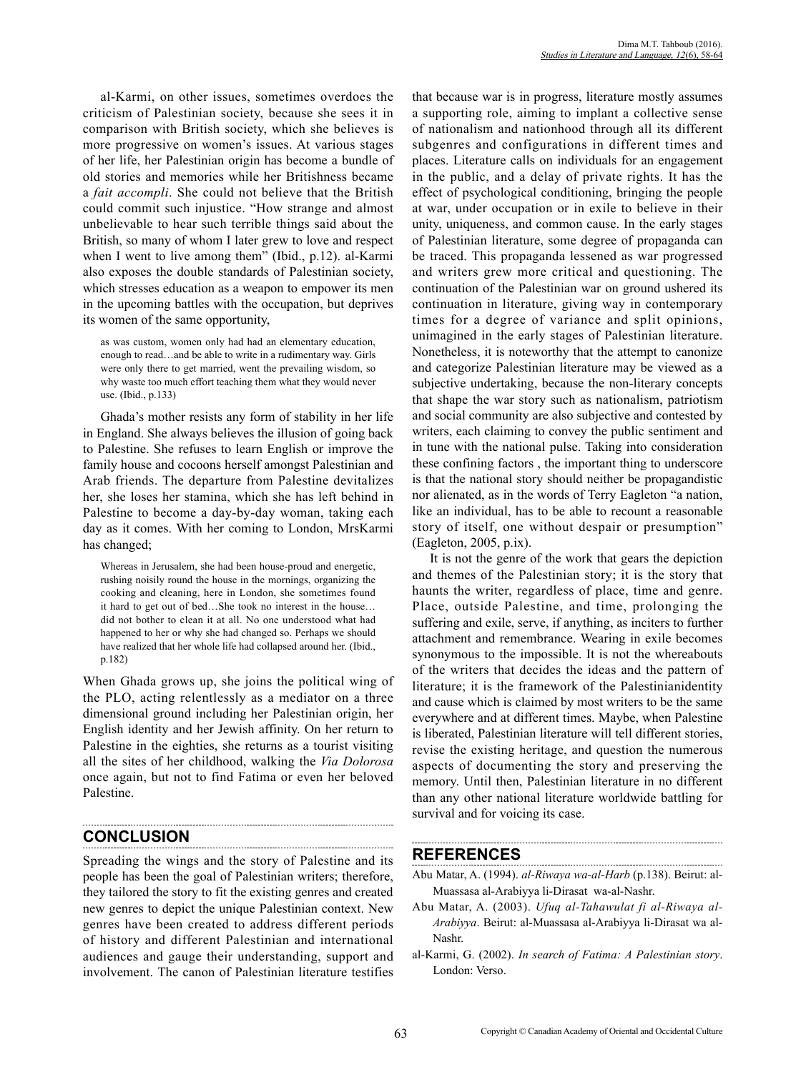al-Karmi, on other issues, sometimes overdoes the criticism of Palestinian society, because she sees it in comparison with British society, which she believes is more progressive on women's issues. At various stages of her life, her Palestinian origin has become a bundle of old stories and memories while her Britishness became a *fait accompli*. She could not believe that the British could commit such injustice. "How strange and almost unbelievable to hear such terrible things said about the British, so many of whom I later grew to love and respect when I went to live among them" (Ibid., p.12). al-Karmi also exposes the double standards of Palestinian society, which stresses education as a weapon to empower its men in the upcoming battles with the occupation, but deprives its women of the same opportunity,

as was custom, women only had had an elementary education, enough to read…and be able to write in a rudimentary way. Girls were only there to get married, went the prevailing wisdom, so why waste too much effort teaching them what they would never use. (Ibid., p.133)

Ghada's mother resists any form of stability in her life in England. She always believes the illusion of going back to Palestine. She refuses to learn English or improve the family house and cocoons herself amongst Palestinian and Arab friends. The departure from Palestine devitalizes her, she loses her stamina, which she has left behind in Palestine to become a day-by-day woman, taking each day as it comes. With her coming to London, MrsKarmi has changed;

Whereas in Jerusalem, she had been house-proud and energetic, rushing noisily round the house in the mornings, organizing the cooking and cleaning, here in London, she sometimes found it hard to get out of bed…She took no interest in the house… did not bother to clean it at all. No one understood what had happened to her or why she had changed so. Perhaps we should have realized that her whole life had collapsed around her. (Ibid., p.182)

When Ghada grows up, she joins the political wing of the PLO, acting relentlessly as a mediator on a three dimensional ground including her Palestinian origin, her English identity and her Jewish affinity. On her return to Palestine in the eighties, she returns as a tourist visiting all the sites of her childhood, walking the *Via Dolorosa* once again, but not to find Fatima or even her beloved Palestine.

# **CONCLUSION**

Spreading the wings and the story of Palestine and its people has been the goal of Palestinian writers; therefore, they tailored the story to fit the existing genres and created new genres to depict the unique Palestinian context. New genres have been created to address different periods of history and different Palestinian and international audiences and gauge their understanding, support and involvement. The canon of Palestinian literature testifies that because war is in progress, literature mostly assumes a supporting role, aiming to implant a collective sense of nationalism and nationhood through all its different subgenres and configurations in different times and places. Literature calls on individuals for an engagement in the public, and a delay of private rights. It has the effect of psychological conditioning, bringing the people at war, under occupation or in exile to believe in their unity, uniqueness, and common cause. In the early stages of Palestinian literature, some degree of propaganda can be traced. This propaganda lessened as war progressed and writers grew more critical and questioning. The continuation of the Palestinian war on ground ushered its continuation in literature, giving way in contemporary times for a degree of variance and split opinions, unimagined in the early stages of Palestinian literature. Nonetheless, it is noteworthy that the attempt to canonize and categorize Palestinian literature may be viewed as a subjective undertaking, because the non-literary concepts that shape the war story such as nationalism, patriotism and social community are also subjective and contested by writers, each claiming to convey the public sentiment and in tune with the national pulse. Taking into consideration these confining factors , the important thing to underscore is that the national story should neither be propagandistic nor alienated, as in the words of Terry Eagleton "a nation, like an individual, has to be able to recount a reasonable story of itself, one without despair or presumption" (Eagleton, 2005, p.ix).

It is not the genre of the work that gears the depiction and themes of the Palestinian story; it is the story that haunts the writer, regardless of place, time and genre. Place, outside Palestine, and time, prolonging the suffering and exile, serve, if anything, as inciters to further attachment and remembrance. Wearing in exile becomes synonymous to the impossible. It is not the whereabouts of the writers that decides the ideas and the pattern of literature; it is the framework of the Palestinianidentity and cause which is claimed by most writers to be the same everywhere and at different times. Maybe, when Palestine is liberated, Palestinian literature will tell different stories, revise the existing heritage, and question the numerous aspects of documenting the story and preserving the memory. Until then, Palestinian literature in no different than any other national literature worldwide battling for survival and for voicing its case.

## **REFERENCES**

- Abu Matar, A. (1994). *al-Riwaya wa-al-Harb* (p.138). Beirut: al-Muassasa al-Arabiyya li-Dirasat wa-al-Nashr.
- Abu Matar, A. (2003). *Ufuq al-Tahawulat fi al-Riwaya al-Arabiyya*. Beirut: al-Muassasa al-Arabiyya li-Dirasat wa al-Nashr.
- al-Karmi, G. (2002). *In search of Fatima: A Palestinian story*. London: Verso.